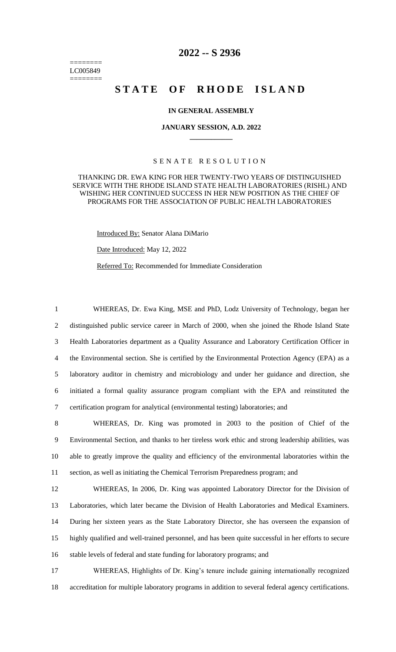======== LC005849 ========

## **2022 -- S 2936**

# STATE OF RHODE ISLAND

### **IN GENERAL ASSEMBLY**

#### **JANUARY SESSION, A.D. 2022 \_\_\_\_\_\_\_\_\_\_\_\_**

### S E N A T E R E S O L U T I O N

### THANKING DR. EWA KING FOR HER TWENTY-TWO YEARS OF DISTINGUISHED SERVICE WITH THE RHODE ISLAND STATE HEALTH LABORATORIES (RISHL) AND WISHING HER CONTINUED SUCCESS IN HER NEW POSITION AS THE CHIEF OF PROGRAMS FOR THE ASSOCIATION OF PUBLIC HEALTH LABORATORIES

Introduced By: Senator Alana DiMario

Date Introduced: May 12, 2022

Referred To: Recommended for Immediate Consideration

 WHEREAS, Dr. Ewa King, MSE and PhD, Lodz University of Technology, began her distinguished public service career in March of 2000, when she joined the Rhode Island State Health Laboratories department as a Quality Assurance and Laboratory Certification Officer in the Environmental section. She is certified by the Environmental Protection Agency (EPA) as a laboratory auditor in chemistry and microbiology and under her guidance and direction, she initiated a formal quality assurance program compliant with the EPA and reinstituted the certification program for analytical (environmental testing) laboratories; and

 WHEREAS, Dr. King was promoted in 2003 to the position of Chief of the Environmental Section, and thanks to her tireless work ethic and strong leadership abilities, was able to greatly improve the quality and efficiency of the environmental laboratories within the section, as well as initiating the Chemical Terrorism Preparedness program; and

 WHEREAS, In 2006, Dr. King was appointed Laboratory Director for the Division of Laboratories, which later became the Division of Health Laboratories and Medical Examiners. During her sixteen years as the State Laboratory Director, she has overseen the expansion of highly qualified and well-trained personnel, and has been quite successful in her efforts to secure stable levels of federal and state funding for laboratory programs; and

17 WHEREAS, Highlights of Dr. King's tenure include gaining internationally recognized 18 accreditation for multiple laboratory programs in addition to several federal agency certifications.